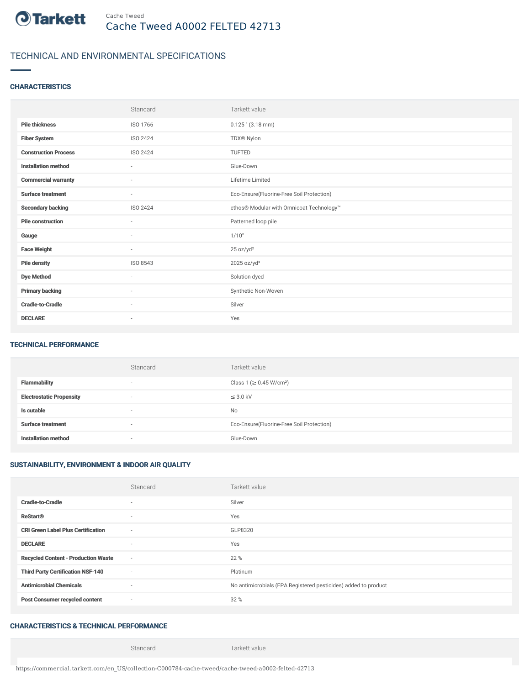

# TECHNICAL AND ENVIRONMENTAL SPECIFICATIONS

### **CHARACTERISTICS**

|                             | Standard                 | Tarkett value                             |
|-----------------------------|--------------------------|-------------------------------------------|
| <b>Pile thickness</b>       | ISO 1766                 | $0.125$ " $(3.18$ mm)                     |
| <b>Fiber System</b>         | ISO 2424                 | TDX® Nylon                                |
| <b>Construction Process</b> | ISO 2424                 | <b>TUFTED</b>                             |
| <b>Installation method</b>  | $\sim$                   | Glue-Down                                 |
| <b>Commercial warranty</b>  | $\sim$                   | Lifetime Limited                          |
| <b>Surface treatment</b>    | $\overline{\phantom{a}}$ | Eco-Ensure(Fluorine-Free Soil Protection) |
| <b>Secondary backing</b>    | ISO 2424                 | ethos® Modular with Omnicoat Technology™  |
| <b>Pile construction</b>    | $\sim$                   | Patterned loop pile                       |
| Gauge                       | $\sim$                   | 1/10"                                     |
| <b>Face Weight</b>          | ×.                       | 25 oz/yd <sup>2</sup>                     |
| <b>Pile density</b>         | ISO 8543                 | $2025$ oz/yd <sup>3</sup>                 |
| <b>Dye Method</b>           | $\sim$                   | Solution dyed                             |
| <b>Primary backing</b>      | ×                        | Synthetic Non-Woven                       |
| <b>Cradle-to-Cradle</b>     | ٠                        | Silver                                    |
| <b>DECLARE</b>              | $\overline{\phantom{a}}$ | Yes                                       |

#### TECHNICAL PERFORMANCE

|                                 | Standard                 | Tarkett value                             |
|---------------------------------|--------------------------|-------------------------------------------|
| <b>Flammability</b>             | $\overline{\phantom{a}}$ | Class 1 (≥ 0.45 W/cm <sup>2</sup> )       |
| <b>Electrostatic Propensity</b> | $\overline{\phantom{a}}$ | $\leq$ 3.0 kV                             |
| Is cutable                      | $\overline{\phantom{a}}$ | No                                        |
| <b>Surface treatment</b>        | $\overline{\phantom{a}}$ | Eco-Ensure(Fluorine-Free Soil Protection) |
| <b>Installation method</b>      | $\overline{\phantom{a}}$ | Glue-Down                                 |

# SUSTAINABILITY, ENVIRONMENT & INDOOR AIR QUALITY

|                                            | Standard                 | Tarkett value                                                  |
|--------------------------------------------|--------------------------|----------------------------------------------------------------|
| <b>Cradle-to-Cradle</b>                    | ٠                        | Silver                                                         |
| <b>ReStart®</b>                            | $\overline{\phantom{a}}$ | Yes                                                            |
| <b>CRI Green Label Plus Certification</b>  | $\sim$                   | GLP8320                                                        |
| <b>DECLARE</b>                             | $\sim$                   | Yes                                                            |
| <b>Recycled Content - Production Waste</b> | $\overline{\phantom{a}}$ | 22 %                                                           |
| <b>Third Party Certification NSF-140</b>   | $\sim$                   | Platinum                                                       |
| <b>Antimicrobial Chemicals</b>             | $\sim$                   | No antimicrobials (EPA Registered pesticides) added to product |
| <b>Post Consumer recycled content</b>      | $\sim$                   | 32 %                                                           |

### CHARACTERISTICS & TECHNICAL PERFORMANCE

Standard Tarkett value